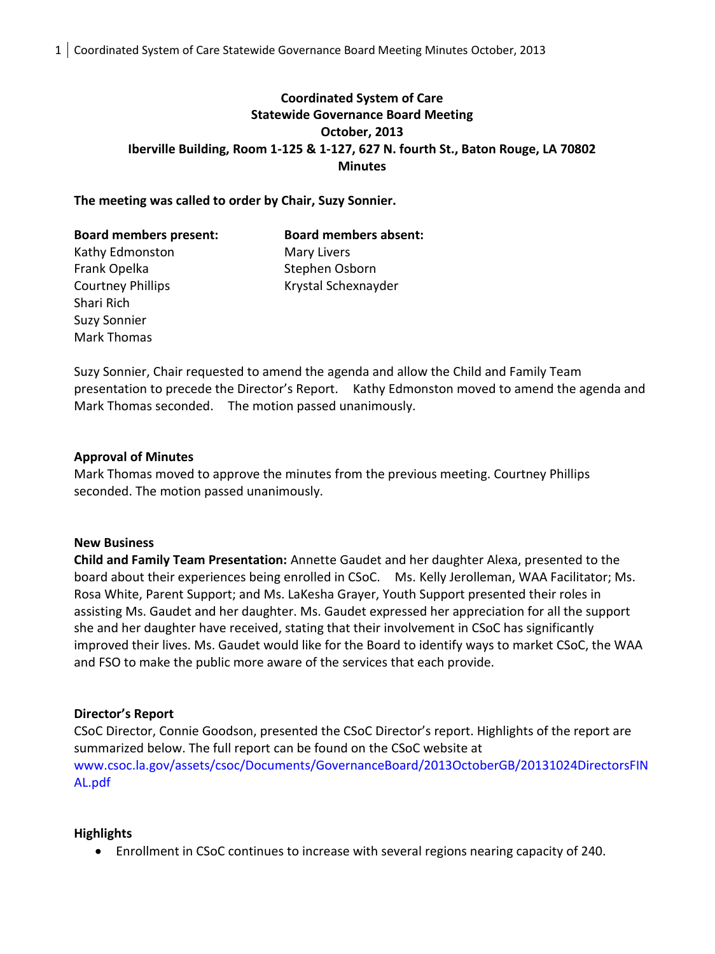# **Coordinated System of Care Statewide Governance Board Meeting October, 2013 Iberville Building, Room 1-125 & 1-127, 627 N. fourth St., Baton Rouge, LA 70802 Minutes**

### **The meeting was called to order by Chair, Suzy Sonnier.**

| <b>Board members present:</b> | <b>Board members absent:</b> |
|-------------------------------|------------------------------|
| Kathy Edmonston               | Mary Livers                  |
| Frank Opelka                  | Stephen Osborn               |
| <b>Courtney Phillips</b>      | Krystal Schexnayder          |
| Shari Rich                    |                              |

Suzy Sonnier, Chair requested to amend the agenda and allow the Child and Family Team presentation to precede the Director's Report. Kathy Edmonston moved to amend the agenda and Mark Thomas seconded. The motion passed unanimously.

#### **Approval of Minutes**

Mark Thomas moved to approve the minutes from the previous meeting. Courtney Phillips seconded. The motion passed unanimously.

#### **New Business**

Suzy Sonnier Mark Thomas

**Child and Family Team Presentation:** Annette Gaudet and her daughter Alexa, presented to the board about their experiences being enrolled in CSoC. Ms. Kelly Jerolleman, WAA Facilitator; Ms. Rosa White, Parent Support; and Ms. LaKesha Grayer, Youth Support presented their roles in assisting Ms. Gaudet and her daughter. Ms. Gaudet expressed her appreciation for all the support she and her daughter have received, stating that their involvement in CSoC has significantly improved their lives. Ms. Gaudet would like for the Board to identify ways to market CSoC, the WAA and FSO to make the public more aware of the services that each provide.

#### **Director's Report**

CSoC Director, Connie Goodson, presented the CSoC Director's report. Highlights of the report are summarized below. The full report can be found on the CSoC website at [www.csoc.la.gov/assets/csoc/Documents/GovernanceBoard/2013OctoberGB/20131024DirectorsFIN](http://www.csoc.la.gov/assets/csoc/Documents/GovernanceBoard/2013OctoberGB/20131024DirectorsFINAL.pdf) [AL.pdf](http://www.csoc.la.gov/assets/csoc/Documents/GovernanceBoard/2013OctoberGB/20131024DirectorsFINAL.pdf)

#### **Highlights**

Enrollment in CSoC continues to increase with several regions nearing capacity of 240.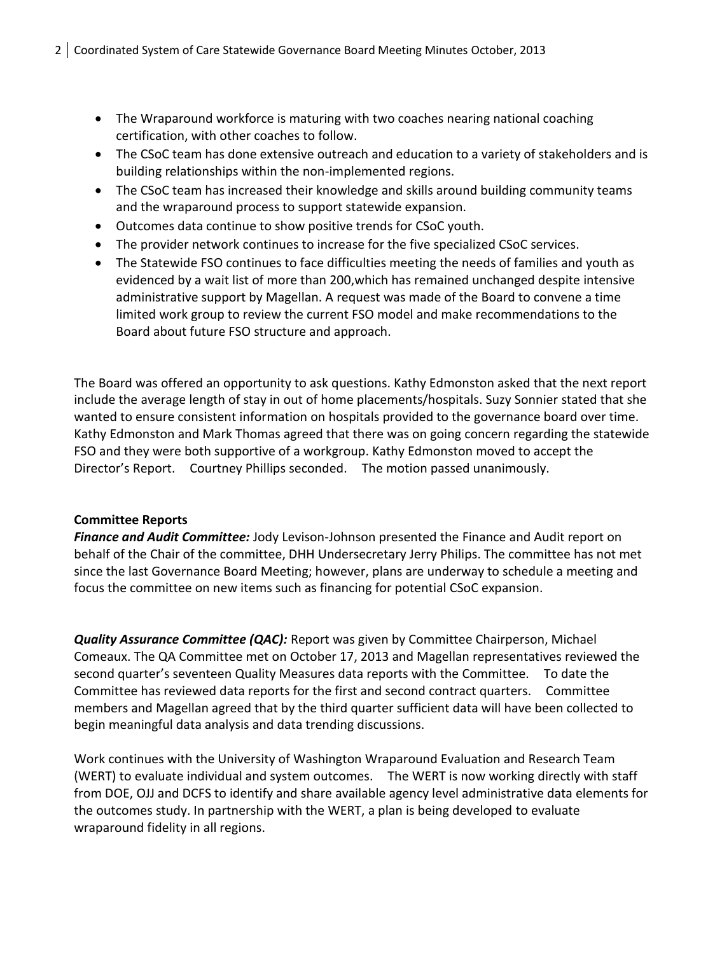- The Wraparound workforce is maturing with two coaches nearing national coaching certification, with other coaches to follow.
- The CSoC team has done extensive outreach and education to a variety of stakeholders and is building relationships within the non-implemented regions.
- The CSoC team has increased their knowledge and skills around building community teams and the wraparound process to support statewide expansion.
- Outcomes data continue to show positive trends for CSoC youth.
- The provider network continues to increase for the five specialized CSoC services.
- The Statewide FSO continues to face difficulties meeting the needs of families and youth as evidenced by a wait list of more than 200,which has remained unchanged despite intensive administrative support by Magellan. A request was made of the Board to convene a time limited work group to review the current FSO model and make recommendations to the Board about future FSO structure and approach.

The Board was offered an opportunity to ask questions. Kathy Edmonston asked that the next report include the average length of stay in out of home placements/hospitals. Suzy Sonnier stated that she wanted to ensure consistent information on hospitals provided to the governance board over time. Kathy Edmonston and Mark Thomas agreed that there was on going concern regarding the statewide FSO and they were both supportive of a workgroup. Kathy Edmonston moved to accept the Director's Report. Courtney Phillips seconded. The motion passed unanimously.

## **Committee Reports**

*Finance and Audit Committee:* Jody Levison-Johnson presented the Finance and Audit report on behalf of the Chair of the committee, DHH Undersecretary Jerry Philips. The committee has not met since the last Governance Board Meeting; however, plans are underway to schedule a meeting and focus the committee on new items such as financing for potential CSoC expansion.

*Quality Assurance Committee (QAC):* Report was given by Committee Chairperson, Michael Comeaux. The QA Committee met on October 17, 2013 and Magellan representatives reviewed the second quarter's seventeen Quality Measures data reports with the Committee. To date the Committee has reviewed data reports for the first and second contract quarters. Committee members and Magellan agreed that by the third quarter sufficient data will have been collected to begin meaningful data analysis and data trending discussions.

Work continues with the University of Washington Wraparound Evaluation and Research Team (WERT) to evaluate individual and system outcomes. The WERT is now working directly with staff from DOE, OJJ and DCFS to identify and share available agency level administrative data elements for the outcomes study. In partnership with the WERT, a plan is being developed to evaluate wraparound fidelity in all regions.